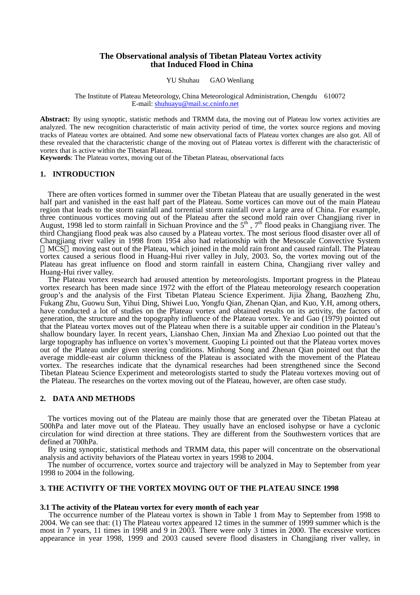## **The Observational analysis of Tibetan Plateau Vortex activity that Induced Flood in China**

#### YU Shuhau GAO Wenliang

#### The Institute of Plateau Meteorology, China Meteorological Administration, Chengdu 610072 E-mail: [shuhuayu@mail.sc.cninfo.net](mailto:shuhuayu@mail.sc.cninfo.net)

**Abstract:** By using synoptic, statistic methods and TRMM data, the moving out of Plateau low vortex activities are analyzed. The new recognition characteristic of main activity period of time, the vortex source regions and moving tracks of Plateau vortex are obtained. And some new observational facts of Plateau vortex changes are also got. All of these revealed that the characteristic change of the moving out of Plateau vortex is different with the characteristic of vortex that is active within the Tibetan Plateau.

**Keywords**: The Plateau vortex, moving out of the Tibetan Plateau, observational facts

### **1. INTRODUCTION**

There are often vortices formed in summer over the Tibetan Plateau that are usually generated in the west half part and vanished in the east half part of the Plateau. Some vortices can move out of the main Plateau region that leads to the storm rainfall and torrential storm rainfall over a large area of China. For example, three continuous vortices moving out of the Plateau after the second mold rain over Changjiang river in August, 1998 led to storm rainfall in Sichuan Province and the  $5<sup>th</sup>$ ,  $7<sup>th</sup>$  flood peaks in Changjiang river. The third Changjiang flood peak was also caused by a Plateau vortex. The most serious flood disaster over all of Changjiang river valley in 1998 from 1954 also had relationship with the Mesoscale Convective System

MCS moving east out of the Plateau, which joined in the mold rain front and caused rainfall. The Plateau vortex caused a serious flood in Huang-Hui river valley in July, 2003. So, the vortex moving out of the Plateau has great influence on flood and storm rainfall in eastern China, Changjiang river valley and Huang-Hui river valley.

The Plateau vortex research had aroused attention by meteorologists. Important progress in the Plateau vortex research has been made since 1972 with the effort of the Plateau meteorology research cooperation group's and the analysis of the First Tibetan Plateau Science Experiment. Jijia Zhang, Baozheng Zhu, Fukang Zhu, Guowu Sun, Yihui Ding, Shiwei Luo, Yongfu Qian, Zhenan Qian, and Kuo, Y.H, among others, have conducted a lot of studies on the Plateau vortex and obtained results on its activity, the factors of generation, the structure and the topography influence of the Plateau vortex. Ye and Gao (1979) pointed out that the Plateau vortex moves out of the Plateau when there is a suitable upper air condition in the Plateau's shallow boundary layer. In recent years, Lianshao Chen, Jinxian Ma and Zhexiao Luo pointed out that the large topography has influence on vortex's movement. Guoping Li pointed out that the Plateau vortex moves out of the Plateau under given steering conditions. Minhong Song and Zhenan Qian pointed out that the average middle-east air column thickness of the Plateau is associated with the movement of the Plateau vortex. The researches indicate that the dynamical researches had been strengthened since the Second Tibetan Plateau Science Experiment and meteorologists started to study the Plateau vortexes moving out of the Plateau. The researches on the vortex moving out of the Plateau, however, are often case study.

### **2. DATA AND METHODS**

The vortices moving out of the Plateau are mainly those that are generated over the Tibetan Plateau at 500hPa and later move out of the Plateau. They usually have an enclosed isohypse or have a cyclonic circulation for wind direction at three stations. They are different from the Southwestern vortices that are defined at 700hPa.

By using synoptic, statistical methods and TRMM data, this paper will concentrate on the observational analysis and activity behaviors of the Plateau vortex in years 1998 to 2004.

The number of occurrence, vortex source and trajectory will be analyzed in May to September from year 1998 to 2004 in the following.

# **3. THE ACTIVITY OF THE VORTEX MOVING OUT OF THE PLATEAU SINCE 1998**

#### **3.1 The activity of the Plateau vortex for every month of each year**

The occurrence number of the Plateau vortex is shown in Table 1 from May to September from 1998 to 2004. We can see that: (1) The Plateau vortex appeared 12 times in the summer of 1999 summer which is the most in 7 years, 11 times in 1998 and 9 in 2003. There were only 3 times in 2000. The excessive vortices appearance in year 1998, 1999 and 2003 caused severe flood disasters in Changjiang river valley, in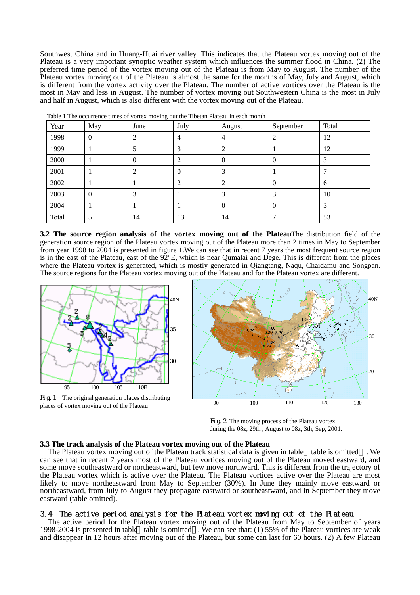Southwest China and in Huang-Huai river valley. This indicates that the Plateau vortex moving out of the Plateau is a very important synoptic weather system which influences the summer flood in China. (2) The preferred time period of the vortex moving out of the Plateau is from May to August. The number of the Plateau vortex moving out of the Plateau is almost the same for the months of May, July and August, which is different from the vortex activity over the Plateau. The number of active vortices over the Plateau is the most in May and less in August. The number of vortex moving out Southwestern China is the most in July and half in August, which is also different with the vortex moving out of the Plateau.

| Year  | May            | June           | July     | August | September        | Total |
|-------|----------------|----------------|----------|--------|------------------|-------|
| 1998  | $\theta$       | າ              | 4        |        |                  | 12    |
| 1999  |                |                |          |        |                  | 12    |
| 2000  |                | $\overline{0}$ |          | U      | $\boldsymbol{0}$ | 3     |
| 2001  |                | ာ              | $\Omega$ |        |                  |       |
| 2002  |                |                | ി        |        | $\Omega$         | 6     |
| 2003  | $\overline{0}$ | 3              |          |        | 3                | 10    |
| 2004  |                |                |          |        | $\Omega$         | 3     |
| Total |                | 14             | 13       | 14     |                  | 53    |

Table 1 The occurrence times of vortex moving out the Tibetan Plateau in each month

**3.2 The source region analysis of the vortex moving out of the Plateau**The distribution field of the generation source region of the Plateau vortex moving out of the Plateau more than 2 times in May to September from year 1998 to 2004 is presented in figure 1.We can see that in recent 7 years the most frequent source region is in the east of the Plateau, east of the 92°E, which is near Qumalai and Dege. This is different from the places where the Plateau vortex is generated, which is mostly generated in Qiangtang, Naqu, Chaidamu and Songpan. The source regions for the Plateau vortex moving out of the Plateau and for the Plateau vortex are different.



Fig.1 The original generation places distributing places of vortex moving out of the Plateau



Fig.2 The moving process of the Plateau vortex during the 08z, 29th , August to 08z, 3th, Sep, 2001.

## **3.3 The track analysis of the Plateau vortex moving out of the Plateau**

The Plateau vortex moving out of the Plateau track statistical data is given in table table is omitted . We can see that in recent 7 years most of the Plateau vortices moving out of the Plateau moved eastward, and some move southeastward or northeastward, but few move northward. This is different from the trajectory of the Plateau vortex which is active over the Plateau. The Plateau vortices active over the Plateau are most likely to move northeastward from May to September (30%). In June they mainly move eastward or northeastward, from July to August they propagate eastward or southeastward, and in September they move eastward (table omitted).

# 3.4 The active period analysis for the Plateau vortex moving out of the Plateau

The active period for the Plateau vortex moving out of the Plateau from May to September of years 1998-2004 is presented in table table is omitted . We can see that: (1) 55% of the Plateau vortices are weak and disappear in 12 hours after moving out of the Plateau, but some can last for 60 hours. (2) A few Plateau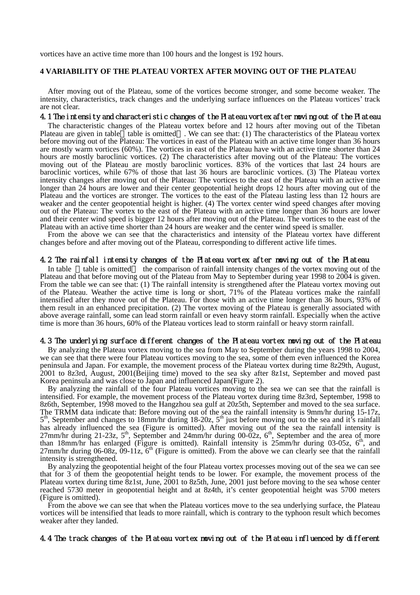vortices have an active time more than 100 hours and the longest is 192 hours.

# **4 VARIABILITY OF THE PLATEAU VORTEX AFTER MOVING OUT OF THE PLATEAU**

After moving out of the Plateau, some of the vortices become stronger, and some become weaker. The intensity, characteristics, track changes and the underlying surface influences on the Plateau vortices' track are not clear.

# 4.1 The intensity and characteristic changes of the Plateau vortex after moving out of the Plateau

The characteristic changes of the Plateau vortex before and 12 hours after moving out of the Tibetan Plateau are given in table  $\bar{ }$  table is omitted . We can see that: (1) The characteristics of the Plateau vortex before moving out of the Plateau: The vortices in east of the Plateau with an active time longer than 36 hours are mostly warm vortices (60%). The vortices in east of the Plateau have with an active time shorter than 24 hours are mostly baroclinic vortices. (2) The characteristics after moving out of the Plateau: The vortices moving out of the Plateau are mostly baroclinic vortices. 83% of the vortices that last 24 hours are baroclinic vortices, while 67% of those that last 36 hours are baroclinic vortices. (3) The Plateau vortex intensity changes after moving out of the Plateau: The vortices to the east of the Plateau with an active time longer than 24 hours are lower and their center geopotential height drops 12 hours after moving out of the Plateau and the vortices are stronger. The vortices to the east of the Plateau lasting less than 12 hours are weaker and the center geopotential height is higher. (4) The vortex center wind speed changes after moving out of the Plateau: The vortex to the east of the Plateau with an active time longer than 36 hours are lower and their center wind speed is bigger 12 hours after moving out of the Plateau. The vortices to the east of the Plateau with an active time shorter than 24 hours are weaker and the center wind speed is smaller.

From the above we can see that the characteristics and intensity of the Plateau vortex have different changes before and after moving out of the Plateau, corresponding to different active life times.

### 4.2 The rainfall intensity changes of the Plateau vortex after moving out of the Plateau

In table table is omitted the comparison of rainfall intensity changes of the vortex moving out of the Plateau and that before moving out of the Plateau from May to September during year 1998 to 2004 is given. From the table we can see that: (1) The rainfall intensity is strengthened after the Plateau vortex moving out of the Plateau. Weather the active time is long or short, 71% of the Plateau vortices make the rainfall intensified after they move out of the Plateau. For those with an active time longer than 36 hours, 93% of them result in an enhanced precipitation. (2) The vortex moving of the Plateau is generally associated with above average rainfall, some can lead storm rainfall or even heavy storm rainfall. Especially when the active time is more than 36 hours, 60% of the Plateau vortices lead to storm rainfall or heavy storm rainfall.

#### 4.3 The underlying surface different changes of the Plateau vortex moving out of the Plateau

By analyzing the Plateau vortex moving to the sea from May to September during the years 1998 to 2004, we can see that there were four Plateau vortices moving to the sea, some of them even influenced the Korea peninsula and Japan. For example, the movement process of the Plateau vortex during time 8z29th, August, 2001 to 8z3rd, August, 2001(Beijing time) moved to the sea sky after 8z1st, September and moved past Korea peninsula and was close to Japan and influenced Japan(Figure 2).

By analyzing the rainfall of the four Plateau vortices moving to the sea we can see that the rainfall is intensified. For example, the movement process of the Plateau vortex during time 8z3rd, September, 1998 to 8z6th, September, 1998 moved to the Hangzhou sea gulf at 20z5th, September and moved to the sea surface. The TRMM data indicate that: Before moving out of the sea the rainfall intensity is 9mm/hr during 15-17z,  $5<sup>th</sup>$ , September and changes to 18mm/hr during 18-20z,  $5<sup>th</sup>$  just before moving out to the sea and it's rainfall has already influenced the sea (Figure is omitted). After moving out of the sea the rainfall intensity is  $27$ mm/hr during 21-23z,  $5<sup>th</sup>$ , September and 24mm/hr during 00-02z,  $6<sup>th</sup>$ , September and the area of more than 18mm/hr has enlarged (Figure is omitted). Rainfall intensity is  $25$ mm/hr during 03-05z, 6<sup>th</sup>, and 27mm/hr during 06-08z, 09-11z,  $6<sup>th</sup>$  (Figure is omitted). From the above we can clearly see that the rainfall intensity is strengthened.

By analyzing the geopotential height of the four Plateau vortex processes moving out of the sea we can see that for 3 of them the geopotential height tends to be lower. For example, the movement process of the Plateau vortex during time 8z1st, June, 2001 to 8z5th, June, 2001 just before moving to the sea whose center reached 5730 meter in geopotential height and at 8z4th, it's center geopotential height was 5700 meters (Figure is omitted).

From the above we can see that when the Plateau vortices move to the sea underlying surface, the Plateau vortices will be intensified that leads to more rainfall, which is contrary to the typhoon result which becomes weaker after they landed.

4.4 The track changes of the Plateau vortex moving out of the Plateau influenced by different